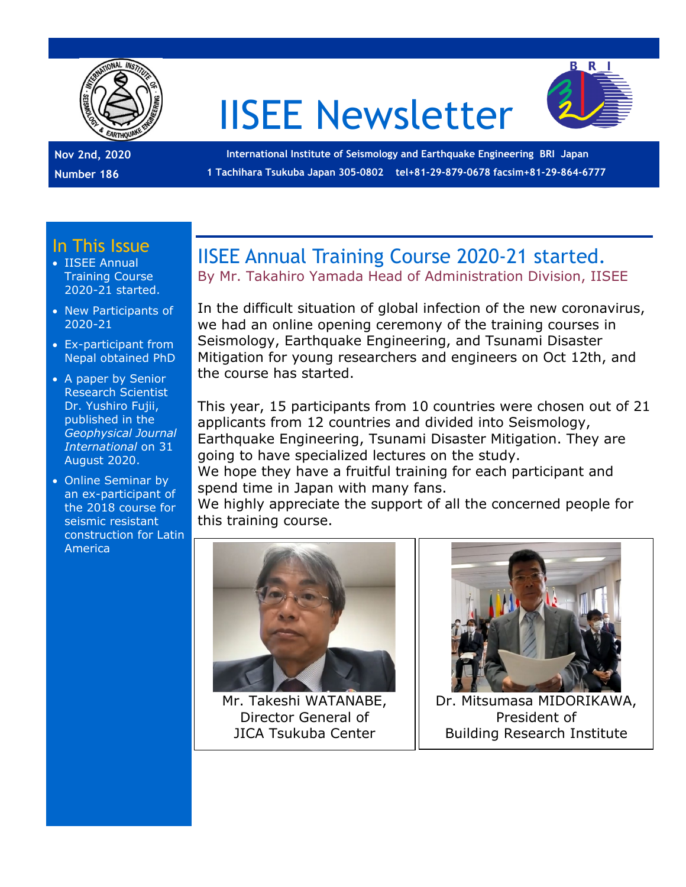

# IISEE Newsletter



**Nov 2nd, 2020 Number 186**

**International Institute of Seismology and Earthquake Engineering BRI Japan 1 Tachihara Tsukuba Japan 305-0802 tel+81-29-879-0678 facsim+81-29-864-6777**

#### In This Issue

- IISEE Annual Training Course 2020-21 started.
- New Participants of 2020-21
- Ex-participant from Nepal obtained PhD
- A paper by Senior Research Scientist Dr. Yushiro Fujii, published in the *Geophysical Journal International* on 31 August 2020.
- Online Seminar by an ex-participant of the 2018 course for seismic resistant construction for Latin America

## IISEE Annual Training Course 2020-21 started.

By Mr. Takahiro Yamada Head of Administration Division, IISEE

In the difficult situation of global infection of the new coronavirus, we had an online opening ceremony of the training courses in Seismology, Earthquake Engineering, and Tsunami Disaster Mitigation for young researchers and engineers on Oct 12th, and the course has started.

This year, 15 participants from 10 countries were chosen out of 21 applicants from 12 countries and divided into Seismology, Earthquake Engineering, Tsunami Disaster Mitigation. They are going to have specialized lectures on the study.

We hope they have a fruitful training for each participant and spend time in Japan with many fans.

We highly appreciate the support of all the concerned people for this training course.



Mr. Takeshi WATANABE, Director General of JICA Tsukuba Center



Dr. Mitsumasa MIDORIKAWA, President of Building Research Institute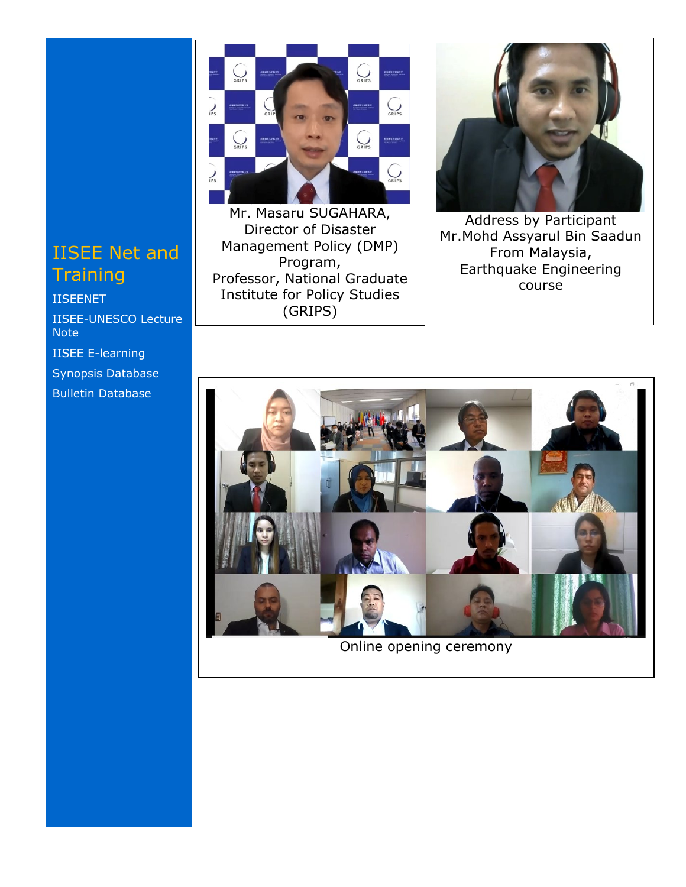## IISEE Net and **Training**

[IISEENET](http://iisee.kenken.go.jp/net/) [IISEE-UNESCO Lecture](http://iisee/lna/)  **[Note](http://iisee/lna/)** [IISEE E-learning](http://iisee/el/) [Synopsis Database](http://iisee/syndb/) [Bulletin Database](http://iisee/bltndb/)



Mr. Masaru SUGAHARA, Director of Disaster Management Policy (DMP) Program, Professor, National Graduate Institute for Policy Studies (GRIPS)



Address by Participant Mr.Mohd Assyarul Bin Saadun From Malaysia, Earthquake Engineering course



Online opening ceremony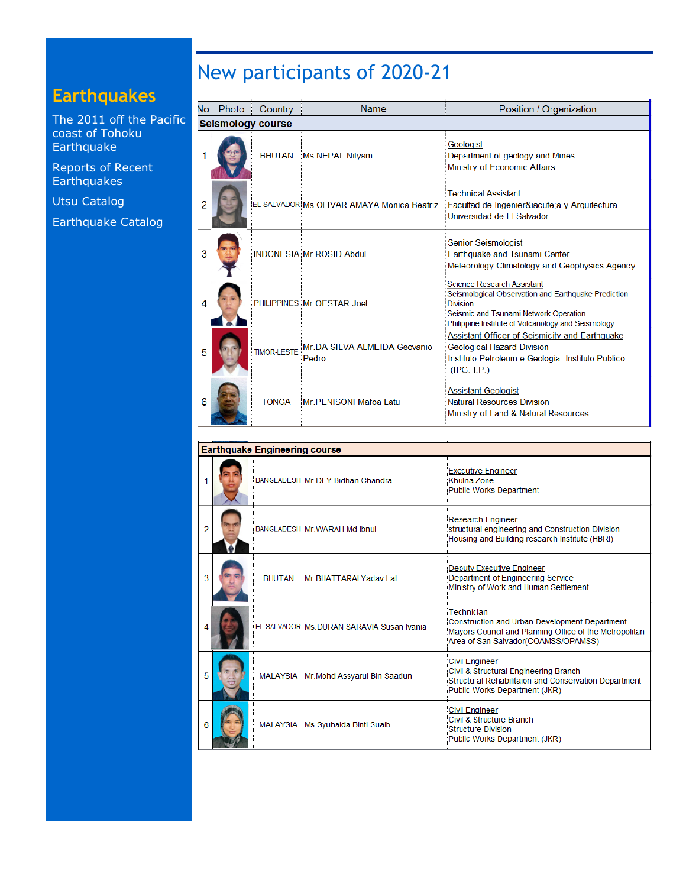## **Earthquakes**

[The 2011 off the Pacific](http://iisee/special2/20110311tohoku.htm)  [coast of Tohoku](http://iisee/special2/20110311tohoku.htm)  [Earthquake](http://iisee/special2/20110311tohoku.htm)

[Reports of Recent](http://iisee/quakes.htm)  **[Earthquakes](http://iisee/quakes.htm)** 

[Utsu Catalog](http://iisee/utsu/index_eng.html)

[Earthquake Catalog](http://iisee/eqcat/Top_page_en.htm)

# New participants of 2020-21

|   | No. Photo                | Country            | Name                                       | Position / Organization                                                                                                                                                                                    |  |  |  |  |
|---|--------------------------|--------------------|--------------------------------------------|------------------------------------------------------------------------------------------------------------------------------------------------------------------------------------------------------------|--|--|--|--|
|   | <b>Seismology course</b> |                    |                                            |                                                                                                                                                                                                            |  |  |  |  |
|   |                          | <b>BHUTAN</b>      | Ms.NEPAL Nityam                            | Geologist<br>Department of geology and Mines<br>Ministry of Economic Affairs                                                                                                                               |  |  |  |  |
| 2 |                          |                    | EL SALVADOR Ms.OLIVAR AMAYA Monica Beatriz | <b>Technical Assistant</b><br>Facultad de Ingenierí a y Arquitectura<br>Universidad de El Salvador                                                                                                         |  |  |  |  |
| 3 |                          |                    | <b>INDONESIA Mr ROSID Abdul</b>            | <b>Senior Seismologist</b><br>Earthquake and Tsunami Center<br>Meteorology Climatology and Geophysics Agency                                                                                               |  |  |  |  |
| 4 |                          |                    | PHILIPPINES Mr OFSTAR Joel                 | <b>Science Research Assistant</b><br>Seismological Observation and Earthquake Prediction<br><b>Division</b><br>Seismic and Tsunami Network Operation<br>Philippine Institute of Volcanology and Seismology |  |  |  |  |
| 5 |                          | <b>TIMOR-LESTE</b> | Mr.DA SILVA ALMEIDA Geovanio<br>Pedro      | Assistant Officer of Seismicity and Earthquake<br><b>Geological Hazard Division</b><br>Instituto Petroleum e Geologia. Instituto Publico<br>(IPG. I.P.)                                                    |  |  |  |  |
| 6 |                          | <b>TONGA</b>       | Mr. PENISONI Mafoa Latu                    | <b>Assistant Geologist</b><br><b>Natural Resources Division</b><br>Ministry of Land & Natural Resources                                                                                                    |  |  |  |  |

|   | <b>Earthquake Engineering course</b> |  |                                            |                                                                                                                                                              |  |  |  |
|---|--------------------------------------|--|--------------------------------------------|--------------------------------------------------------------------------------------------------------------------------------------------------------------|--|--|--|
|   |                                      |  | BANGLADESH Mr.DEY Bidhan Chandra           | Executive Engineer<br>Khulna Zone<br><b>Public Works Department</b>                                                                                          |  |  |  |
| 2 |                                      |  | BANGLADESH Mr. WARAH Md Ibnul              | <b>Research Engineer</b><br>structural engineering and Construction Division<br>Housing and Building research Institute (HBRI)                               |  |  |  |
| 3 |                                      |  | BHUTAN Mr BHATTARAI Yadav Lal              | <b>Deputy Executive Engineer</b><br>Department of Engineering Service<br>Ministry of Work and Human Settlement                                               |  |  |  |
|   |                                      |  | EL SALVADOR Ms. DURAN SARAVIA Susan Ivania | Technician<br>Construction and Urban Development Department<br>Mayors Council and Planning Office of the Metropolitan<br>Area of San Salvador(COAMSS/OPAMSS) |  |  |  |
| 5 |                                      |  | MALAYSIA Mr.Mohd Assyarul Bin Saadun       | <b>Civil Engineer</b><br>Civil & Structural Engineering Branch<br>Structural Rehabilitaion and Conservation Department<br>Public Works Department (JKR)      |  |  |  |
| 6 |                                      |  | MALAYSIA Ms.Syuhaida Binti Suaib           | <b>Civil Engineer</b><br>Civil & Structure Branch<br><b>Structure Division</b><br>Public Works Department (JKR)                                              |  |  |  |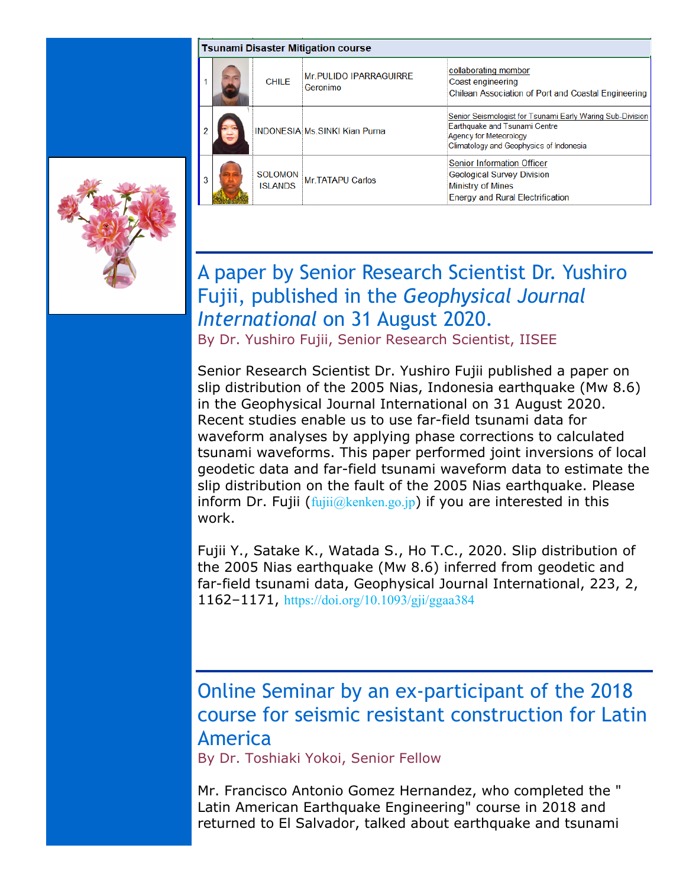|  | <b>Tsunami Disaster Mitigation course</b> |                                   |                                      |                                                                                                                                                                 |  |  |
|--|-------------------------------------------|-----------------------------------|--------------------------------------|-----------------------------------------------------------------------------------------------------------------------------------------------------------------|--|--|
|  |                                           | <b>CHILE</b>                      | Mr. PULIDO IPARRAGUIRRE<br>Geronimo  | collaborating member<br>Coast engineering<br><b>Chilean Association of Port and Coastal Engineering</b>                                                         |  |  |
|  |                                           |                                   | <b>INDONESIA Ms SINKI Kian Purna</b> | Senior Seismologist for Tsunami Early Waring Sub-Division<br>Earthquake and Tsunami Centre<br>Agency for Meteorology<br>Climatology and Geophysics of Indonesia |  |  |
|  |                                           | <b>SOLOMON</b><br><b>ISI ANDS</b> | Mr. TATAPU Carlos                    | <b>Senior Information Officer</b><br><b>Geological Survey Division</b><br><b>Ministry of Mines</b><br><b>Energy and Rural Electrification</b>                   |  |  |

## A paper by Senior Research Scientist Dr. Yushiro Fujii, published in the *Geophysical Journal International* on 31 August 2020.

By Dr. Yushiro Fujii, Senior Research Scientist, IISEE

Senior Research Scientist Dr. Yushiro Fujii published a paper on slip distribution of the 2005 Nias, Indonesia earthquake (Mw 8.6) in the Geophysical Journal International on 31 August 2020. Recent studies enable us to use far-field tsunami data for waveform analyses by applying phase corrections to calculated tsunami waveforms. This paper performed joint inversions of local geodetic data and far-field tsunami waveform data to estimate the slip distribution on the fault of the 2005 Nias earthquake. Please inform Dr. Fujii  $(fuji)$   $@kenken.gov$ ; if you are interested in this work.

Fujii Y., Satake K., Watada S., Ho T.C., 2020. Slip distribution of the 2005 Nias earthquake (Mw 8.6) inferred from geodetic and far-field tsunami data, Geophysical Journal International, 223, 2, 1162–1171, <https://doi.org/10.1093/gji/ggaa384>

## Online Seminar by an ex-participant of the 2018 course for seismic resistant construction for Latin America

By Dr. Toshiaki Yokoi, Senior Fellow

Mr. Francisco Antonio Gomez Hernandez, who completed the " Latin American Earthquake Engineering" course in 2018 and returned to El Salvador, talked about earthquake and tsunami

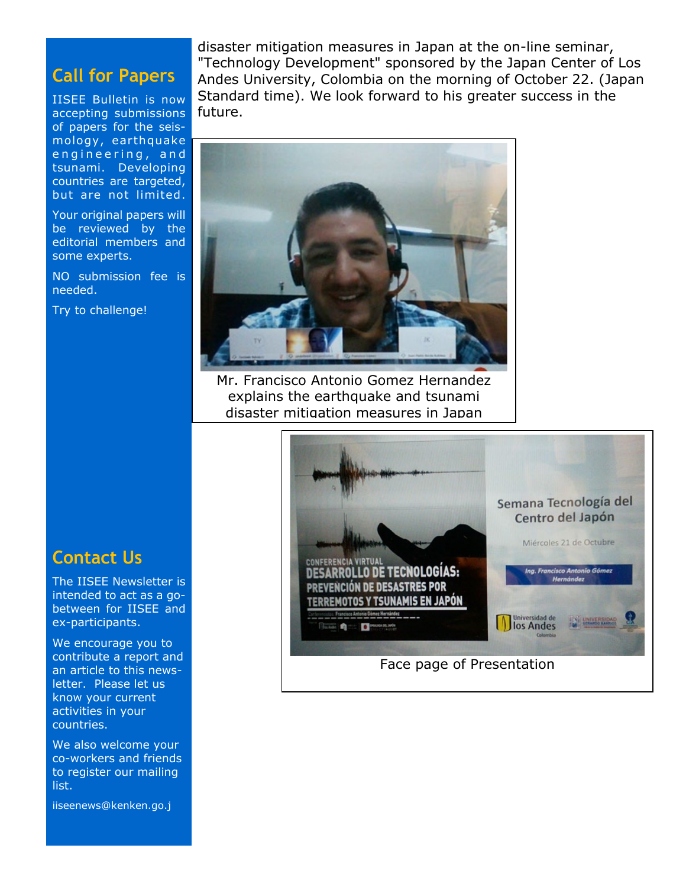#### **Call for Papers**

IISEE Bulletin is now accepting submissions of papers for the seismology, earthquake engineering, and tsunami. Developing countries are targeted, but are not limited.

Your original papers will be reviewed by the editorial members and some experts.

NO submission fee is needed.

Try to challenge!

disaster mitigation measures in Japan at the on-line seminar, "Technology Development" sponsored by the Japan Center of Los Andes University, Colombia on the morning of October 22. (Japan Standard time). We look forward to his greater success in the future.



Mr. Francisco Antonio Gomez Hernandez explains the earthquake and tsunami disaster mitigation measures in Japan

#### **Contact Us**

The IISEE Newsletter is intended to act as a gobetween for IISEE and ex-participants.

We encourage you to contribute a report and an article to this newsletter. Please let us know your current activities in your countries.

We also welcome your co-workers and friends to register our mailing list.

iiseenews@kenken.go.j